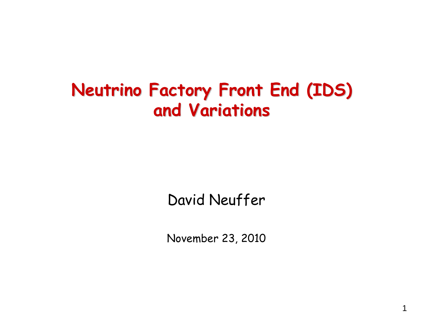# **Neutrino Factory Front End (IDS) Neutrino Factory Front End (IDS) and Variations and Variations**

David Neuffer

November 23, 2010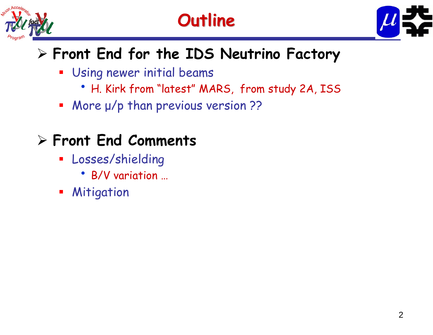





## **Front End for the IDS Neutrino Factory**

- Using newer initial beams
	- H. Kirk from "latest" MARS, from study 2A, ISS
- More μ/p than previous version ??

### **Front End Comments**

- **Losses/shielding** 
	- B/V variation …
- **Mitigation**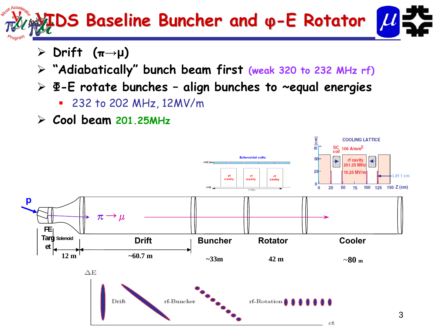# **IDS Baseline IDS Baseline Buncher Buncher and φ-E Rotator E Rotator**

- **Drift (π→μ)**
- **"Adiabatically" bunch beam first (weak 320 to 232 MHz rf)**
- **Φ-E rotate bunches – align bunches to ~equal energies**
	- 232 to 202 MHz, 12MV/m
- **Cool beam 201.25MHz**

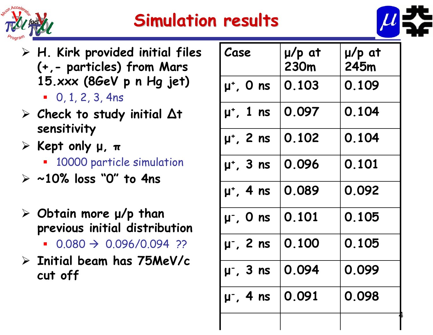

# **Simulation results Simulation results**



- **H. Kirk provided initial files (+,- particles) from Mars 15.xxx (8GeV p n Hg jet)**
	- $\blacksquare$  0, 1, 2, 3, 4ns
- **Check to study initial ∆<sup>t</sup> sensitivity**
- **Kept only <sup>μ</sup>, <sup>π</sup>**
	- 10000 particle simulation
- **~10% loss "0" to 4ns**
- **Obtain more μ/p than previous initial distribution**
	- $0.080 \rightarrow 0.096/0.094$  ??
- **Initial beam has 75MeV/c cut off**

| Case             | $\mu$ /p at<br>230m | $\mu$ /p at<br>245m |
|------------------|---------------------|---------------------|
| $\mu^*$ , O ns   | 0.103               | 0.109               |
| $\mu^*$ , 1 ns   | 0.097               | 0.104               |
| $\mu^*$ , 2 ns   | 0.102               | 0.104               |
| $\mu^*$ , 3 ns   | 0.096               | 0.101               |
| $\mu^*$ , 4 ns   | 0.089               | 0.092               |
| $\mu^{-}$ , O ns | 0.101               | 0.105               |
| $\mu$ , 2 ns     | 0.100               | 0.105               |
| $\mu$ , 3 ns     | 0.094               | 0.099               |
| $\mu$ , 4 ns     | 0.091               | 0.098               |
|                  |                     |                     |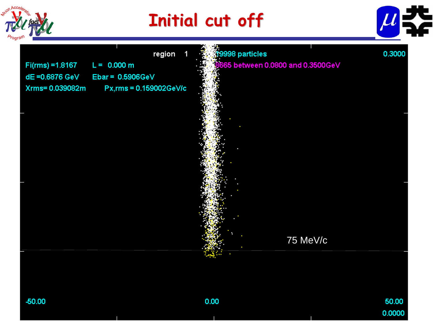

# **Initial cut off Initial cut off**



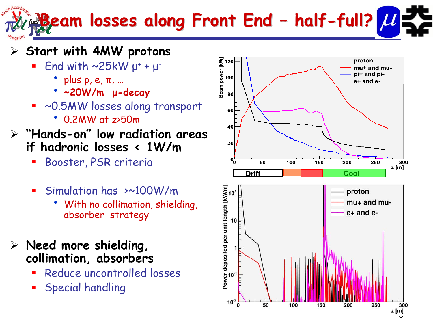#### **Beam losses along Front End Beam losses along Front End –half -full?**

### **Start with 4MW protons**

- $\blacksquare$ = End with  $\sim$ 25kW  $\mu^+ + \mu^-$ 
	- $\bullet$  plus p, e,  $\pi$ , ...
	- **~20W/m <sup>μ</sup>-decay**
- ~0.5MW losses along transport
	- 0.2MW at z>50m
- **"Hands-on" low radiation areas if hadronic losses < 1W/m**
	- a. Booster, PSR criteria
	- $\blacksquare$  Simulation has >~100W/m
		- With no collimation, shielding, absorber strategy
- **Need more shielding, collimation, absorbers**
	- **Service Service** Reduce uncontrolled losses
	- **Service Service** Special handling

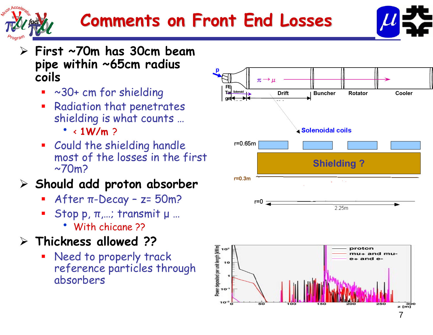



- **First ~70m has 30cm beam pipe within ~65cm radius coils**
	- ~30+ cm for shielding
	- $\overline{\phantom{a}}$  Radiation that penetrates shielding is what counts …
		- $\cdot$  < 1W/m  $\ge$
	- **Could the shielding handle** most of the losses in the first  $\sim$ 70m?

### **Should add proton absorber**

- After <sup>π</sup>-Decay z= 50m?
- $\blacksquare$  Stop p,  $\pi$ ,...; transmit μ ...
	- With chicane ??

### **Thickness allowed ??**

П Need to properly track reference particles through absorbers

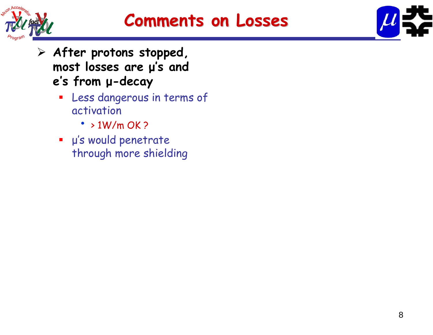



- **After protons stopped, most losses are μ's and <sup>e</sup>'s from <sup>μ</sup>-decay**
	- $\blacksquare$  Less dangerous in terms of activation
		- $\cdot$  > 1W/m OK ?
	- <sup>μ</sup>'s would penetrate through more shielding